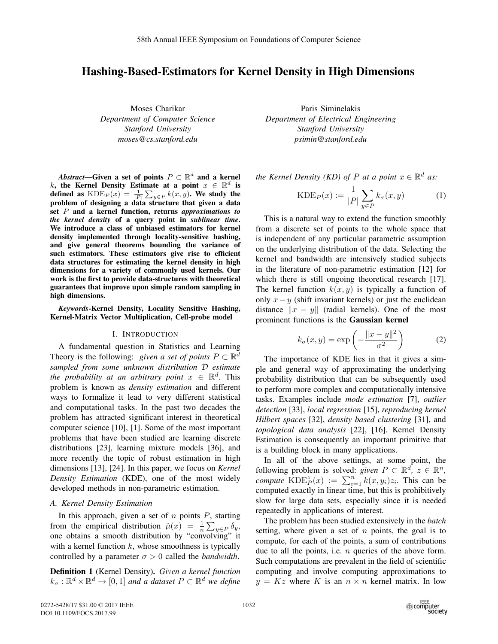## Hashing-Based-Estimators for Kernel Density in High Dimensions

Moses Charikar *Department of Computer Science Stanford University moses@cs.stanford.edu*

*Abstract*—Given a set of points  $P \subset \mathbb{R}^d$  and a kernel k, the Kernel Density Estimate at a point  $x \in \mathbb{R}^d$  is defined as  $\text{KDE}_P(x) = \frac{1}{|P|} \sum_{y \in P} k(x, y)$ . We study the problem of designing a data structure that given a data set P and a kernel function, returns *approximations to the kernel density* of a query point in *sublinear time*. We introduce a class of unbiased estimators for kernel density implemented through locality-sensitive hashing, and give general theorems bounding the variance of such estimators. These estimators give rise to efficient data structures for estimating the kernel density in high dimensions for a variety of commonly used kernels. Our work is the first to provide data-structures with theoretical guarantees that improve upon simple random sampling in high dimensions.

*Keywords*-Kernel Density, Locality Sensitive Hashing, Kernel-Matrix Vector Multiplication, Cell-probe model

## I. INTRODUCTION

A fundamental question in Statistics and Learning Theory is the following: *given a set of points*  $P \subset \mathbb{R}^d$ *sampled from some unknown distribution* D *estimate the probability at an arbitrary point*  $x \in \mathbb{R}^d$ . This problem is known as *density estimation* and different ways to formalize it lead to very different statistical and computational tasks. In the past two decades the problem has attracted significant interest in theoretical computer science [10], [1]. Some of the most important problems that have been studied are learning discrete distributions [23], learning mixture models [36], and more recently the topic of robust estimation in high dimensions [13], [24]. In this paper, we focus on *Kernel Density Estimation* (KDE), one of the most widely developed methods in non-parametric estimation.

## *A. Kernel Density Estimation*

In this approach, given a set of  $n$  points  $P$ , starting from the empirical distribution  $\tilde{\mu}(x) = \frac{1}{n} \sum_{y \in P} \delta_y$ , one obtains a smooth distribution by "convolving" it with a kernel function  $k$ , whose smoothness is typically controlled by a parameter  $\sigma > 0$  called the *bandwidth*.

Definition 1 (Kernel Density). *Given a kernel function*  $k_{\sigma} : \mathbb{R}^d \times \mathbb{R}^d \to [0, 1]$  *and a dataset*  $P \subset \mathbb{R}^d$  *we define* 

Paris Siminelakis *Department of Electrical Engineering Stanford University psimin@stanford.edu*

*the Kernel Density (KD) of P at a point*  $x \in \mathbb{R}^d$  *as:* 

$$
KDE_P(x) := \frac{1}{|P|} \sum_{y \in P} k_{\sigma}(x, y)
$$
 (1)

This is a natural way to extend the function smoothly from a discrete set of points to the whole space that is independent of any particular parametric assumption on the underlying distribution of the data. Selecting the kernel and bandwidth are intensively studied subjects in the literature of non-parametric estimation [12] for which there is still ongoing theoretical research [17]. The kernel function  $k(x, y)$  is typically a function of only  $x-y$  (shift invariant kernels) or just the euclidean distance  $||x - y||$  (radial kernels). One of the most prominent functions is the Gaussian kernel

$$
k_{\sigma}(x,y) = \exp\left(-\frac{\|x-y\|^2}{\sigma^2}\right) \tag{2}
$$

The importance of KDE lies in that it gives a simple and general way of approximating the underlying probability distribution that can be subsequently used to perform more complex and computationally intensive tasks. Examples include *mode estimation* [7], *outlier detection* [33], *local regression* [15], *reproducing kernel Hilbert spaces* [32], *density based clustering* [31], and *topological data analysis* [22], [16]. Kernel Density Estimation is consequently an important primitive that is a building block in many applications.

In all of the above settings, at some point, the following problem is solved: *given*  $P \subset \mathbb{R}^d$ ,  $z \in \mathbb{R}^n$ , *compute*  $\text{KDE}_P^z(x) := \sum_{i=1}^n k(x, y_i) z_i$ . This can be computed exactly in linear time, but this is probibitively computed exactly in linear time, but this is prohibitively slow for large data sets, especially since it is needed repeatedly in applications of interest.

The problem has been studied extensively in the *batch* setting, where given a set of  $n$  points, the goal is to compute, for each of the points, a sum of contributions due to all the points, i.e.  $n$  queries of the above form. Such computations are prevalent in the field of scientific computing and involve computing approximations to  $y = Kz$  where K is an  $n \times n$  kernel matrix. In low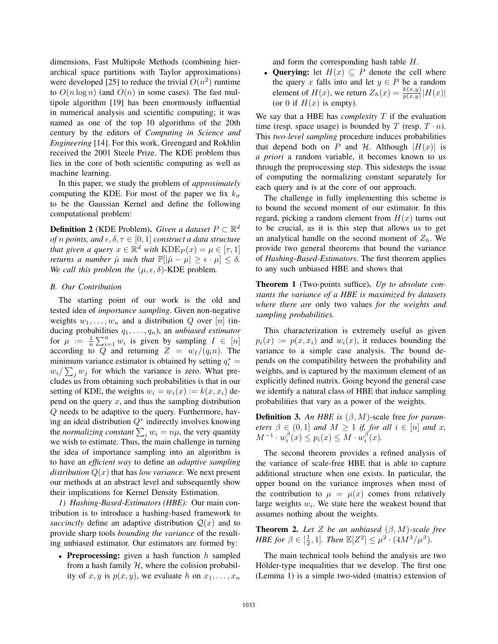dimensions, Fast Multipole Methods (combining hierarchical space partitions with Taylor approximations) were developed [25] to reduce the trivial  $O(n^2)$  runtime to  $O(n \log n)$  (and  $O(n)$  in some cases). The fast multipole algorithm [19] has been enormously influential in numerical analysis and scientific computing; it was named as one of the top 10 algorithms of the 20th century by the editors of *Computing in Science and Engineering* [14]. For this work, Greengard and Rokhlin received the 2001 Steele Prize. The KDE problem thus lies in the core of both scientific computing as well as machine learning.

In this paper, we study the problem of *approximately* computing the KDE. For most of the paper we fix  $k_{\sigma}$ to be the Gaussian Kernel and define the following computational problem:

**Definition 2** (KDE Problem). *Given a dataset*  $P \subset \mathbb{R}^d$ *of n* points, and  $\epsilon, \delta, \tau \in [0, 1]$  *construct a data structure that given a query*  $x \in \mathbb{R}^d$  *with*  $\text{KDE}_P(x) = \mu \in [\tau, 1]$ *returns a number*  $\hat{\mu}$  *such that*  $\mathbb{P}[\|\hat{\mu} - \mu\| \geq \epsilon \cdot \mu] \leq \delta$ . *We call this problem the*  $(\mu, \epsilon, \delta)$ -KDE problem.

## *B. Our Contribution*

The starting point of our work is the old and tested idea of *importance sampling*. Given non-negative weights  $w_1, \ldots, w_n$  and a distribution Q over [n] (inducing probabilities  $q_1, \ldots, q_n$ ), an *unbiased estimator* for  $\mu := \frac{1}{n} \sum_{i=1}^{n} w_i$  is given by sampling  $I \in [n]$ <br>according to O and returning  $Z = w_i/(\alpha n)$ . The according to Q and returning  $Z = w_I/(q_i n)$ . The minimum variance estimator is obtained by setting  $q_i^* =$  $w_i / \sum_j w_j$  for which the variance is zero. What precludes us from obtaining such probabilities is that in our setting of KDE, the weights  $w_i = w_i(x) := k(x, x_i)$  depend on the query  $x$ , and thus the sampling distribution Q needs to be adaptive to the query. Furthermore, having an ideal distribution  $Q^*$  indirectly involves knowing the *normalizing constant*  $\sum_i w_i = n\mu$ , the very quantity we wish to estimate. Thus, the main challenge in turning the idea of importance sampling into an algorithm is to have an *efficient way* to define an *adaptive sampling distribution* Q(x) that has *low variance*. We next present our methods at an abstract level and subsequently show their implications for Kernel Density Estimation.

*1) Hashing-Based-Estimators (HBE):* Our main contribution is to introduce a hashing-based framework to *succinctly* define an adaptive distribution  $Q(x)$  and to provide sharp tools *bounding the variance* of the resulting unbiased estimator. Our estimators are formed by:

• Preprocessing: given a hash function  $h$  sampled from a hash family  $H$ , where the colision probability of  $x, y$  is  $p(x, y)$ , we evaluate h on  $x_1, \ldots, x_n$ 

and form the corresponding hash table H.

• Querying: let  $H(x) \subseteq P$  denote the cell where the query x falls into and let  $y \in P$  be a random element of  $H(x)$ , we return  $Z_h(x) = \frac{k(x,y)}{p(x,y)} |H(x)|$ (or 0 if  $H(x)$  is empty).

We say that a HBE has *complexity* T if the evaluation time (resp. space usage) is bounded by T (resp.  $T \cdot n$ ). This *two-level sampling* procedure induces probabilities that depend both on P and H. Although  $|H(x)|$  is *a priori* a random variable, it becomes known to us through the preprocessing step. This sidesteps the issue of computing the normalizing constant separately for each query and is at the core of our approach.

The challenge in fully implementing this scheme is to bound the second moment of our estimator. In this regard, picking a random element from  $H(x)$  turns out to be crucial, as it is this step that allows us to get an analytical handle on the second moment of  $Z_h$ . We provide two general theorems that bound the variance of *Hashing-Based-Estimators*. The first theorem applies to any such unbiased HBE and shows that

Theorem 1 (Two-points suffice). *Up to absolute constants the variance of a HBE is maximized by datasets where there are* only two values *for the weights and sampling probabilities.*

This characterization is extremely useful as given  $p_i(x) := p(x, x_i)$  and  $w_i(x)$ , it reduces bounding the variance to a simple case analysis. The bound depends on the compatibility between the probability and weights, and is captured by the maximum element of an explicitly defined matrix. Going beyond the general case we identify a natural class of HBE that induce sampling probabilities that vary as a power of the weights.

**Definition 3.** An HBE is  $(\beta, M)$ -scale free *for parameters*  $\beta \in (0,1]$  *and*  $M \geq 1$  *if, for all*  $i \in [n]$  *and* x,  $M^{-1} \cdot w_i^{\beta}(x) \leq p_i(x) \leq M \cdot w_i^{\beta}(x).$ 

The second theorem provides a refined analysis of the variance of scale-free HBE that is able to capture additional structure when one exists. In particular, the upper bound on the variance improves when most of the contribution to  $\mu = \mu(x)$  comes from relatively large weights  $w_i$ . We state here the weakest bound that assumes nothing about the weights.

Theorem 2. *Let* Z *be an unbiased* (β,M)*-scale free HBE for*  $\beta \in [\frac{1}{2}, 1]$ *. Then*  $\mathbb{E}[Z^2] \leq \mu^{2 \cdot 2} \cdot (4M^3/\mu^{\beta})$ *.* 

The main technical tools behind the analysis are two Hölder-type inequalities that we develop. The first one (Lemma 1) is a simple two-sided (matrix) extension of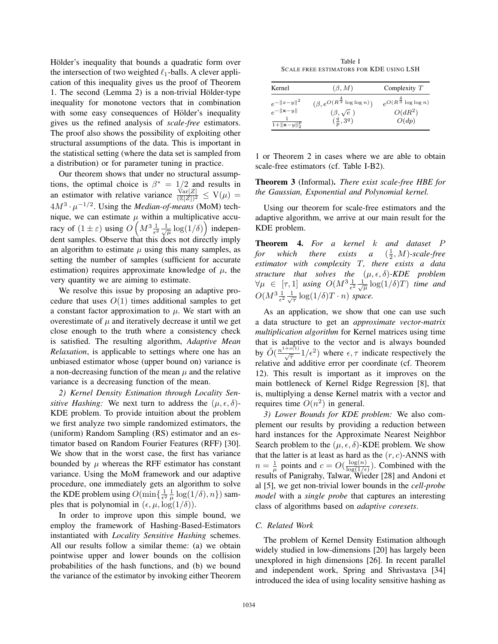Hölder's inequality that bounds a quadratic form over the intersection of two weighted  $\ell_1$ -balls. A clever application of this inequality gives us the proof of Theorem 1. The second (Lemma 2) is a non-trivial Hölder-type inequality for monotone vectors that in combination with some easy consequences of Hölder's inequality gives us the refined analysis of *scale-free* estimators. The proof also shows the possibility of exploiting other structural assumptions of the data. This is important in the statistical setting (where the data set is sampled from a distribution) or for parameter tuning in practice.

Our theorem shows that under no structural assumptions, the optimal choice is  $\beta^* = 1/2$  and results in an estimator with relative variance  $\frac{\sqrt{\text{ar}[Z]}}{(\mathbb{E}[Z])^2} \le V(\mu) =$ <br>4.143  $\mu$  = 1/2. Using the Madisus of washing (MaM) took  $4M^3 \cdot \mu^{-1/2}$ . Using the *Median-of-means* (MoM) technique, we can estimate  $\mu$  within a multiplicative accuracy of  $(1 \pm \varepsilon)$  using  $O\left(M^3 \frac{1}{\epsilon^2} \frac{1}{\sqrt{\mu}} \log(1/\delta)\right)$  independent samples. Observe that this does not directly imply an algorithm to estimate  $\mu$  using this many samples, as setting the number of samples (sufficient for accurate estimation) requires approximate knowledge of  $\mu$ , the very quantity we are aiming to estimate.

We resolve this issue by proposing an adaptive procedure that uses  $O(1)$  times additional samples to get a constant factor approximation to  $\mu$ . We start with an overestimate of  $\mu$  and iteratively decrease it until we get close enough to the truth where a consistency check is satisfied. The resulting algorithm, *Adaptive Mean Relaxation*, is applicable to settings where one has an unbiased estimator whose (upper bound on) variance is a non-decreasing function of the mean  $\mu$  and the relative variance is a decreasing function of the mean.

*2) Kernel Density Estimation through Locality Sensitive Hashing:* We next turn to address the  $(\mu, \epsilon, \delta)$ -KDE problem. To provide intuition about the problem we first analyze two simple randomized estimators, the (uniform) Random Sampling (RS) estimator and an estimator based on Random Fourier Features (RFF) [30]. We show that in the worst case, the first has variance bounded by  $\mu$  whereas the RFF estimator has constant variance. Using the MoM framework and our adaptive procedure, one immediately gets an algorithm to solve the KDE problem using  $O(\min\{\frac{1}{\epsilon^2} \frac{1}{\mu}\log(1/\delta), n\})$  samples that is polynomial in  $(\epsilon, \mu, \log(1/\delta)).$ 

In order to improve upon this simple bound, we employ the framework of Hashing-Based-Estimators instantiated with *Locality Sensitive Hashing* schemes. All our results follow a similar theme: (a) we obtain pointwise upper and lower bounds on the collision probabilities of the hash functions, and (b) we bound the variance of the estimator by invoking either Theorem

Table I SCALE FREE ESTIMATORS FOR KDE USING LSH

| Kernel                       | $(\beta, M)$                                  | Complexity $T$                     |
|------------------------------|-----------------------------------------------|------------------------------------|
| $e^{-  x-y  ^2}$             | $(\beta, e^{O(R^{\frac{4}{3}} \log \log n)})$ | $e^{O(R^{\frac{4}{3}}\log\log n)}$ |
| $e^{-\ \mathbf{x}-y\ }$      | $(\beta,\sqrt{e})$                            | $O(dR^2)$                          |
| $1 + \ \mathbf{x} - y\ _2^p$ | $(\frac{q}{p}, 3^q)$                          | O(dp)                              |

1 or Theorem 2 in cases where we are able to obtain scale-free estimators (cf. Table I-B2).

Theorem 3 (Informal). *There exist scale-free HBE for the Gaussian, Exponential and Polynomial kernel.*

Using our theorem for scale-free estimators and the adaptive algorithm, we arrive at our main result for the KDE problem.

Theorem 4. *For a kernel* k *and dataset* P *for which there exists a*  $(\frac{1}{2}, M)$ *-scale-free*<br>estimator with complexity T there exists a data *estimator with complexity* T*, there exists a data structure that solves the*  $(\mu, \epsilon, \delta)$ *-KDE problem*  $\forall \mu \in [\tau, 1]$  *using*  $O(M^3 \frac{1}{\epsilon^2} \frac{1}{\sqrt{\mu}} \log(1/\delta)T)$  *time and*  $O(M^3 \frac{1}{\epsilon^2} \frac{1}{\sqrt{\tau}} \log(1/\delta)T \cdot n)$  space.

As an application, we show that one can use such a data structure to get an *approximate vector-matrix multiplication algorithm* for Kernel matrices using time that is adaptive to the vector and is always bounded by  $\tilde{O}(\frac{n^{1+o(1)}}{\sqrt{\tau}}1/\epsilon^2)$  where  $\epsilon, \tau$  indicate respectively the relative and additive error per coordinate (cf. Theorem 12). This result is important as it improves on the main bottleneck of Kernel Ridge Regression [8], that is, multiplying a dense Kernel matrix with a vector and requires time  $O(n^2)$  in general.

*3) Lower Bounds for KDE problem:* We also complement our results by providing a reduction between hard instances for the Approximate Nearest Neighbor Search problem to the  $(\mu, \epsilon, \delta)$ -KDE problem. We show that the latter is at least as hard as the  $(r, c)$ -ANNS with  $n = \frac{1}{\mu}$  points and  $c = O(\frac{\log(n)}{\log(1/\epsilon)})$ . Combined with the results of Panigrahy, Talwar, Wieder [28] and Andoni et al [5], we get non-trivial lower bounds in the *cell-probe model* with a *single probe* that captures an interesting class of algorithms based on *adaptive coresets*.

## *C. Related Work*

The problem of Kernel Density Estimation although widely studied in low-dimensions [20] has largely been unexplored in high dimensions [26]. In recent parallel and independent work, Spring and Shrivastava [34] introduced the idea of using locality sensitive hashing as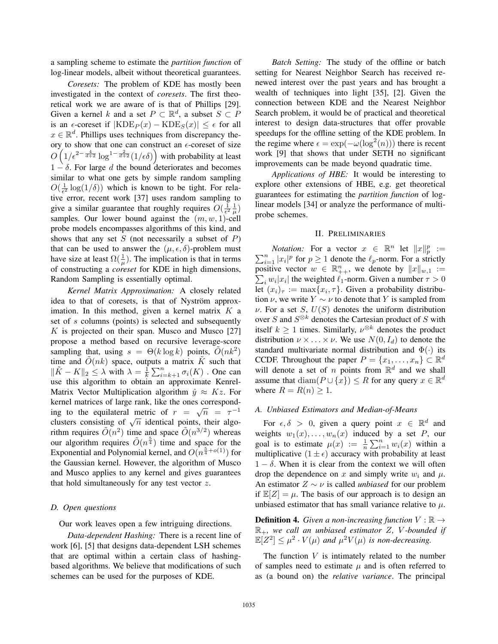a sampling scheme to estimate the *partition function* of log-linear models, albeit without theoretical guarantees.

*Coresets:* The problem of KDE has mostly been investigated in the context of *coresets*. The first theoretical work we are aware of is that of Phillips [29]. Given a kernel k and a set  $P \subset \mathbb{R}^d$ , a subset  $S \subset P$ is an  $\epsilon$ -coreset if  $|KDE_P(x) - KDE_S(x)| \leq \epsilon$  for all  $x \in \mathbb{R}^d$ . Phillips uses techniques from discrepancy theory to show that one can construct an  $\epsilon$ -coreset of size  $O\left(1/\epsilon^{2-\frac{4}{d+2}}\log^{1-\frac{2}{d+2}}(1/\epsilon\delta)\right)$  with probability at least  $1 - \delta$ . For large d the bound deteriorates and becomes similar to what one gets by simple random sampling  $O(\frac{1}{\epsilon^2} \log(1/\delta))$  which is known to be tight. For relative error, recent work [37] uses random sampling to give a similar guarantee that roughly requires  $O(\frac{1}{\epsilon^2} \frac{1}{\mu})$ samples. Our lower bound against the  $(m, w, 1)$ -cell probe models encompasses algorithms of this kind, and shows that any set  $S$  (not necessarily a subset of  $P$ ) that can be used to answer the  $(\mu, \epsilon, \delta)$ -problem must have size at least  $\Omega(\frac{1}{\mu})$ . The implication is that in terms of constructing a *coreset* for KDE in high dimensions, Random Sampling is essentially optimal.

*Kernel Matrix Approximation:* A closely related idea to that of coresets, is that of Nyström approximation. In this method, given a kernel matrix  $K$  a set of s columns (points) is selected and subsequently  $K$  is projected on their span. Musco and Musco [27] propose a method based on recursive leverage-score sampling that, using  $s = \Theta(k \log k)$  points,  $O(nk^2)$ time and  $\tilde{O}(nk)$  space, outputs a matrix  $\tilde{K}$  such that  $\|\tilde{K} - K\|_2 \leq \lambda$  with  $\lambda = \frac{1}{k} \sum_{i=k+1}^n \sigma_i(K)$ . One can use this algorithm to obtain an approximate Kenrel-Matrix Vector Multiplication algorithm  $\hat{y} \approx Kz$ . For kernel matrices of large rank, like the ones corresponding to the equilateral metric of  $r = \sqrt{n} = \tau^{-1}$ clusters consisting of  $\sqrt{n}$  identical points, their algorithm requires  $\tilde{O}(n^2)$  time and space  $\tilde{O}(n^{3/2})$  whereas our algorithm requires  $\tilde{O}(n^{\frac{5}{4}})$  time and space for the Exponential and Polynomial kernel, and  $O(n^{\frac{5}{4}+o(1)})$  for the Gaussian kernel. However, the algorithm of Musco and Musco applies to any kernel and gives guarantees that hold simultaneously for any test vector z.

## *D. Open questions*

Our work leaves open a few intriguing directions.

*Data-dependent Hashing:* There is a recent line of work [6], [5] that designs data-dependent LSH schemes that are optimal within a certain class of hashingbased algorithms. We believe that modifications of such schemes can be used for the purposes of KDE.

*Batch Setting:* The study of the offline or batch setting for Nearest Neighbor Search has received renewed interest over the past years and has brought a wealth of techniques into light [35], [2]. Given the connection between KDE and the Nearest Neighbor Search problem, it would be of practical and theoretical interest to design data-structures that offer provable speedups for the offline setting of the KDE problem. In the regime where  $\epsilon = \exp(-\omega(\log^2(n)))$  there is recent work [9] that shows that under SETH no significant improvements can be made beyond quadratic time.

*Applications of HBE:* It would be interesting to explore other extensions of HBE, e.g. get theoretical guarantees for estimating the *partition function* of loglinear models [34] or analyze the performance of multiprobe schemes.

## II. PRELIMINARIES

*Notation:* For a vector  $x \in \mathbb{R}^n$  let  $||x||_p^p :=$  $\sum_{i=1}^{n} |x_i|^p$  for  $p \ge 1$  denote the  $\ell_p$ -norm. For a strictly<br>positive vector  $w \in \mathbb{R}^n$  we denote by  $||x|| \to \infty$ positive vector  $w \in \mathbb{R}_{++}^n$ , we denote by  $||x||_{w,1} :=$ <br>  $\sum_{x} ||x||$  the weighted  $\ell$ , norm Given a number  $\tau > 0$  $\sum_i w_i |x_i|$  the weighted  $\ell_1$ -norm. Given a number  $\tau > 0$ let  $(x_i)_{\tau} := \max\{x_i, \tau\}$ . Given a probability distribution  $\nu$ , we write  $Y \sim \nu$  to denote that Y is sampled from  $\nu$ . For a set S,  $U(S)$  denotes the uniform distribution over S and  $S^{\otimes k}$  denotes the Cartesian product of S with itself  $k \ge 1$  times. Similarly,  $\nu^{\otimes k}$  denotes the product distribution  $\nu \times \ldots \times \nu$ . We use  $N(0, I_d)$  to denote the standard multivariate normal distribution and  $\Phi(\cdot)$  its CCDF. Throughout the paper  $P = \{x_1, \ldots, x_n\} \subset \mathbb{R}^d$ will denote a set of n points from  $\mathbb{R}^d$  and we shall assume that  $\text{diam}(P \cup \{x\}) \leq R$  for any query  $x \in \mathbb{R}^d$ where  $R = R(n) \geq 1$ .

## *A. Unbiased Estimators and Median-of-Means*

For  $\epsilon, \delta > 0$ , given a query point  $x \in \mathbb{R}^d$  and weights  $w_1(x), \ldots, w_n(x)$  induced by a set P, our goal is to estimate  $\mu(x) := \frac{1}{n} \sum_{i=1}^{n} w_i(x)$  within a<br>multiplicative  $(1 + \epsilon)$  accuracy with probability at least multiplicative  $(1 \pm \epsilon)$  accuracy with probability at least  $1 - \delta$ . When it is clear from the context we will often drop the dependence on x and simply write  $w_i$  and  $\mu$ . An estimator  $Z \sim \nu$  is called *unbiased* for our problem if  $\mathbb{E}[Z] = \mu$ . The basis of our approach is to design an unbiased estimator that has small variance relative to  $\mu$ .

**Definition 4.** *Given a non-increasing function*  $V : \mathbb{R} \rightarrow$  $\mathbb{R}_+$ *, we call an unbiased estimator Z, V-bounded if*  $\mathbb{E}[Z_1^2] \leq \mathbb{E}[Z_1^2] \leq \mathbb{E}[Z_2^2]$  $\mathbb{E}[Z^2] \leq \mu^2 \cdot V(\mu)$  *and*  $\mu^2 V(\mu)$  *is non-decreasing.* 

The function  $V$  is intimately related to the number of samples need to estimate  $\mu$  and is often referred to as (a bound on) the *relative variance*. The principal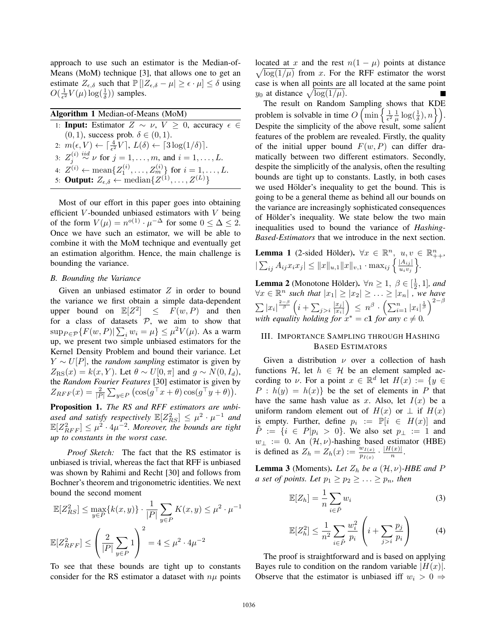approach to use such an estimator is the Median-of-Means (MoM) technique [3], that allows one to get an estimate  $Z_{\epsilon,\delta}$  such that  $\mathbb{P}[|Z_{\epsilon,\delta} - \mu| \geq \epsilon \cdot \mu] \leq \delta$  using  $O(\frac{1}{\epsilon^2}V(\mu)\log(\frac{1}{\delta}))$  samples.

| Algorithm 1 Median-of-Means (MoM)                                                                                     |
|-----------------------------------------------------------------------------------------------------------------------|
| 1: <b>Input:</b> Estimator $Z \sim \nu$ , $V \geq 0$ , accuracy $\epsilon \in$                                        |
| $(0, 1)$ , success prob. $\delta \in (0, 1)$ .                                                                        |
| 2: $m(\epsilon, V) \leftarrow \left[\frac{4}{\epsilon^2}V\right], L(\delta) \leftarrow \left[3\log(1/\delta)\right].$ |
| 3: $Z_i^{(i)} \stackrel{iid}{\sim} \nu$ for $j = 1, , m$ , and $i = 1, , L$ .                                         |
| 4: $Z^{(i)} \leftarrow \text{mean}\{Z_1^{(i)}, \dots, Z_m^{(i)}\}$ for $i = 1, \dots, L$ .                            |
| 5: <b>Output:</b> $Z_{\epsilon,\delta} \leftarrow \text{median}\{Z^{(1)}, \ldots, Z^{(L)}\}$                          |

Most of our effort in this paper goes into obtaining efficient V-bounded unbiased estimators with  $V$  being of the form  $V(\mu) = n^{o(1)} \cdot \mu^{-\Delta}$  for some  $0 \leq \Delta \leq 2$ . Once we have such an estimator, we will be able to combine it with the MoM technique and eventually get an estimation algorithm. Hence, the main challenge is bounding the variance.

#### *B. Bounding the Variance*

Given an unbiased estimator  $Z$  in order to bound the variance we first obtain a simple data-dependent upper bound on  $\mathbb{E}[Z^2] \leq F(w, P)$  and then for a class of datasets  $P$ , we aim to show that  $\sup_{P \in \mathcal{P}} \{ F(w, P) | \sum_i w_i = \mu \} \leq \mu^2 V(\mu)$ . As a warm up, we present two simple unbiased estimators for the Kernel Density Problem and bound their variance. Let  $Y \sim U[P]$ , the *random sampling* estimator is given by  $Z_{\text{RS}}(x) = k(x, Y)$ . Let  $\theta \sim U[0, \pi]$  and  $g \sim N(0, I_d)$ , the *Random Fourier Features* [30] estimator is given by  $Z_{RFF}(x) = \frac{2}{|P|} \sum_{y \in P} (\cos(g^{\top} x + \theta) \cos(g^{\top} y + \theta)).$ 

Proposition 1. *The RS and RFF estimators are unbi*ased and satisfy respectively  $\mathbb{E}[Z_{RS}^2] \leq \mu^2 \cdot \mu^{-1}$  and  $\mathbb{E}[Z_{RFF}^2] \leq \mu^2 \cdot 4\mu^{-2}$ . Moreover, the bounds are tight *up to constants in the worst case.*

*Proof Sketch:* The fact that the RS estimator is unbiased is trivial, whereas the fact that RFF is unbiased was shown by Rahimi and Recht [30] and follows from Bochner's theorem and trigonometric identities. We next bound the second moment

$$
\mathbb{E}[Z_{RS}^2] \le \max_{y \in P} \{k(x, y)\} \cdot \frac{1}{|P|} \sum_{y \in P} K(x, y) \le \mu^2 \cdot \mu^{-1}
$$

$$
\mathbb{E}[Z_{RFF}^2] \le \left(\frac{2}{|P|} \sum_{y \in P} 1\right)^2 = 4 \le \mu^2 \cdot 4\mu^{-2}
$$

To see that these bounds are tight up to constants consider for the RS estimator a dataset with  $n\mu$  points

located at x and the rest  $n(1 - \mu)$  points at distance  $\sqrt{\log(1/\mu)}$  from x. For the RFF estimator the worst case is when all points are all located at the same point  $y_0$  at distance  $\sqrt{\log(1/\mu)}$ .

The result on Random Sampling shows that KDE problem is solvable in time  $O\left(\min\left\{\frac{1}{\epsilon^2} \frac{1}{\mu} \log(\frac{1}{\delta}), n\right\}\right)$ . Despite the simplicity of the above result, some salient features of the problem are revealed. Firstly, the quality of the initial upper bound  $F(w, P)$  can differ dramatically between two different estimators. Secondly, despite the simplicitly of the analysis, often the resulting bounds are tight up to constants. Lastly, in both cases we used Hölder's inequality to get the bound. This is going to be a general theme as behind all our bounds on the variance are increasingly sophisticated consequences of Hölder's inequality. We state below the two main inequalities used to bound the variance of *Hashing-Based-Estimators* that we introduce in the next section.

**Lemma 1** (2-sided Hölder). 
$$
\forall x \in \mathbb{R}^n
$$
,  $u, v \in \mathbb{R}^n_{++}$ ,  
 $|\sum_{ij} A_{ij} x_i x_j| \leq ||x||_{u,1} ||x||_{v,1} \cdot \max_{ij} \left\{ \frac{|A_{ij}|}{u_i v_j} \right\}.$ 

**Lemma 2** (Monotone Hölder).  $\forall n \geq 1, \beta \in [\frac{1}{2}, 1]$ , and  $\frac{1}{2}$ , 1]*, and*<br>we have  $\forall x \in \mathbb{R}^n$  such that  $|x_1| \ge |x_2| \ge ... \ge |x_n|$ , we have  $\sum |x_i|^{\frac{2-\beta}{\beta}} \left(i + \sum_{j>i} \frac{|x_j|}{|x_i|}\right)$  $|x_i|$  $\sum_{n=1}^{\infty} \frac{1}{n} \sum_{i=1}^{\infty} \left[ x_i \right]_i^{\frac{1}{\beta}} \Big]^{2-\beta}$ *with equality holding for*  $x^* = c\mathbf{1}$  *for any*  $c \neq 0$ *.* 

## III. IMPORTANCE SAMPLING THROUGH HASHING BASED ESTIMATORS

Given a distribution  $\nu$  over a collection of hash functions H, let  $h \in H$  be an element sampled according to v. For a point  $x \in \mathbb{R}^d$  let  $H(x) := \{y \in$  $P : h(y) = h(x)$  be the set of elements in P that have the same hash value as x. Also, let  $I(x)$  be a uniform random element out of  $H(x)$  or  $\perp$  if  $H(x)$ is empty. Further, define  $p_i := \mathbb{P}[i \in H(x)]$  and  $\tilde{P} := \{i \in P | p_i > 0\}$ . We also set  $p_{\perp} := 1$  and  $w_{\perp} := 0$ . An  $(\mathcal{H}, \nu)$ -hashing based estimator (HBE) is defined as  $Z_h = Z_h(x) := \frac{w_{I(x)}}{p_{I(x)}} \cdot \frac{|H(x)|}{n}$ .

**Lemma 3** (Moments). Let  $Z_h$  be a  $(\mathcal{H}, \nu)$ -HBE and P *a set of points. Let*  $p_1 \geq p_2 \geq \ldots \geq p_n$ *, then* 

$$
\mathbb{E}[Z_h] = \frac{1}{n} \sum_{i \in \tilde{P}} w_i
$$
 (3)

$$
\mathbb{E}[Z_h^2] \le \frac{1}{n^2} \sum_{i \in \tilde{P}} \frac{w_i^2}{p_i} \left( i + \sum_{j>i} \frac{p_j}{p_i} \right) \tag{4}
$$

The proof is straightforward and is based on applying Bayes rule to condition on the random variable  $|H(x)|$ . Observe that the estimator is unbiased iff  $w_i > 0 \Rightarrow$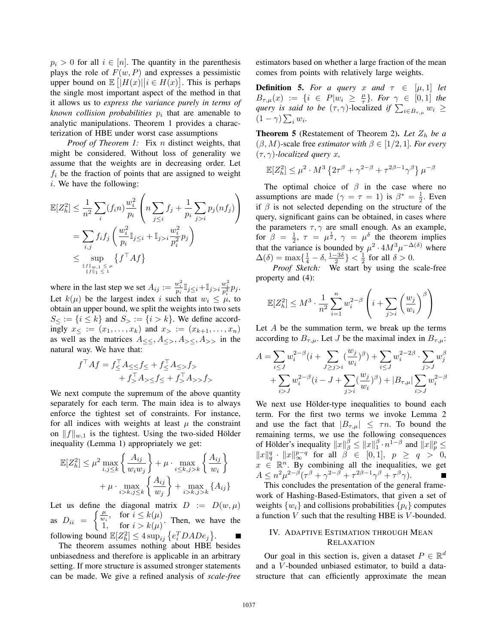$p_i > 0$  for all  $i \in [n]$ . The quantity in the parenthesis plays the role of  $F(w, P)$  and expresses a pessimistic upper bound on  $\mathbb{E}[|H(x)||i \in H(x)]$ . This is perhaps the single most important aspect of the method in that it allows us to *express the variance purely in terms of known collision probabilities*  $p_i$  that are amenable to analytic manipulations. Theorem 1 provides a characterization of HBE under worst case assumptions

*Proof of Theorem 1:* Fix *n* distinct weights, that might be considered. Without loss of generality we assume that the weights are in decreasing order. Let  $f_i$  be the fraction of points that are assigned to weight  $i.$  We have the following:

$$
\mathbb{E}[Z_h^2] \leq \frac{1}{n^2} \sum_i (f_i n) \frac{w_i^2}{p_i} \left( n \sum_{j \leq i} f_j + \frac{1}{p_i} \sum_{j > i} p_j(n f_j) \right)
$$
  
= 
$$
\sum_{i,j} f_i f_j \left( \frac{w_i^2}{p_i} \mathbb{I}_{j \leq i} + \mathbb{I}_{j > i} \frac{w_i^2}{p_i^2} p_j \right)
$$
  

$$
\leq \sup_{\substack{\|f\|_{w,1} \leq \mu \\ \|f\|_{1} \leq 1}} \{ f^\top A f \}
$$

where in the last step we set  $A_{ij} := \frac{w_i^2}{p_i} \mathbb{I}_{j \le i} + \mathbb{I}_{j > i} \frac{w_i^2}{p_i^2} p_j$ . Let  $k(\mu)$  be the largest index i such that  $w_i \leq \mu$ , to obtain an upper bound, we split the weights into two sets  $S_{\leq} := \{i \leq k\}$  and  $S_{\geq} := \{i > k\}$ . We define accordingly  $x_{\leq} := (x_1, \ldots, x_k)$  and  $x_{>} := (x_{k+1}, \ldots, x_n)$ as well as the matrices  $A_{<<}, A_{<<}, A_{<<}, A_{>>}$  in the natural way. We have that:

$$
f^{\top}Af = f^{\top}_{\leq} A_{\leq \leq} f_{\leq} + f^{\top}_{\leq} A_{\leq} f_{>}\n+ f^{\top}_{\geq} A_{> \leq} f_{\leq} + f^{\top}_{\geq} A_{> >} f_{>}
$$

We next compute the supremum of the above quantity separately for each term. The main idea is to always enforce the tightest set of constraints. For instance, for all indices with weights at least  $\mu$  the constraint on  $||f||_{w,1}$  is the tightest. Using the two-sided Hölder inequality (Lemma 1) appropriately we get:

$$
\mathbb{E}[Z_h^2] \le \mu^2 \max_{i,j \le k} \left\{ \frac{A_{ij}}{w_i w_j} \right\} + \mu \cdot \max_{i \le k, j > k} \left\{ \frac{A_{ij}}{w_i} \right\} + \mu \cdot \max_{i > k, j \le k} \left\{ \frac{A_{ij}}{w_j} \right\} + \max_{i > k, j > k} \left\{ A_{ij} \right\}
$$

Let us define the diagonal matrix  $D := D(w, \mu)$ as  $D_{ii} = \begin{cases} \frac{\mu}{w_i}, & \text{for } i \leq k(\mu) \\ 1, & \text{for } i > k(\mu) \end{cases}$  $\begin{array}{ll} \n\frac{1}{2} & \text{for } i \leq \infty \\
1, & \text{for } i > k(\mu) \n\end{array}$ . Then, we have the following bound  $\mathbb{E}[Z_h^2] \leq 4 \sup_{ij} \{e_i^T D A D e_j\}.$ 

The theorem assumes nothing about HBE besides unbiasedness and therefore is applicable in an arbitrary setting. If more structure is assumed stronger statements can be made. We give a refined analysis of *scale-free* estimators based on whether a large fraction of the mean comes from points with relatively large weights.

**Definition 5.** For a query x and  $\tau \in [\mu, 1]$  let  $B_{\tau,\mu}(x) := \{i \in P | w_i \geq \frac{\mu}{\tau}\}\$ . For  $\gamma \in [0,1]$  the *query is said to be*  $(\tau, \gamma)$ -localized *if*  $\sum_{i \in B_{\tau,\mu}} w_i \ge$  $(1-\gamma)\sum_i w_i.$ 

**Theorem 5** (Restatement of Theorem 2). Let  $Z_h$  be a  $(\beta, M)$ -scale free *estimator with*  $\beta \in [1/2, 1]$ *. For every* (τ, γ)*-localized query* x*,*

$$
\mathbb{E}[Z_h^2] \le \mu^2 \cdot M^3 \left\{ 2\tau^\beta + \gamma^{2-\beta} + \tau^{2\beta - 1} \gamma^\beta \right\} \mu^{-\beta}
$$

The optimal choice of  $\beta$  in the case where no assumptions are made  $(\gamma = \tau = 1)$  is  $\beta^* = \frac{1}{2}$ . Even<br>if  $\beta$  is not selected depending on the structure of the if  $\beta$  is not selected depending on the structure of the query, significant gains can be obtained, in cases where the parameters  $\tau$ ,  $\gamma$  are small enough. As an example, for  $\beta = \frac{1}{2}$ ,  $\tau = \mu^{\frac{1}{2}}$ ,  $\gamma = \mu^{\delta}$  the theorem implies<br>that the variance is bounded by  $\mu^2 \cdot AM^3 \mu^{-\Delta(\delta)}$  where that the variance is bounded by  $\mu^2 \cdot 4M^3 \mu^{-\Delta(\delta)}$  where  $\Delta(\delta) = \max\{\frac{1}{4} - \delta, \frac{1-3\delta}{2}\} < \frac{1}{2}$  for all  $\delta > 0$ .<br>*Proof Sketch:* We start by using the scale-free

property and (4):

$$
\mathbb{E}[Z_h^2] \le M^3 \cdot \frac{1}{n^2} \sum_{i=1}^n w_i^{2-\beta} \left( i + \sum_{j>i} \left( \frac{w_j}{w_i} \right)^{\beta} \right)
$$

Let  $A$  be the summation term, we break up the terms according to  $B_{\tau,\mu}$ . Let J be the maximal index in  $B_{\tau,\mu}$ :

$$
A = \sum_{i \le J} w_i^{2-\beta} (i + \sum_{J \ge j > i} (\frac{w_j}{w_i})^{\beta}) + \sum_{i \le J} w_i^{2-2\beta} \cdot \sum_{j > J} w_j^{\beta}
$$
  
+ 
$$
\sum_{i > J} w_i^{2-\beta} (i - J + \sum_{j > i} (\frac{w_j}{w_i})^{\beta}) + |B_{\tau,\mu}| \sum_{i > J} w_i^{2-\beta}
$$

We next use Hölder-type inequalities to bound each term. For the first two terms we invoke Lemma 2 and use the fact that  $|B_{\tau,\mu}| \leq \tau n$ . To bound the remaining terms, we use the following consequences of Hölder's inequality  $||x||_{\beta}^{\beta} \le ||x||_{1}^{\beta} \cdot n^{1-\beta}$  and  $||x||_{p}^{\beta} \le ||x||_{\beta}^{\beta} \le ||x||_{\beta}^{\beta} \le ||x||_{\beta}^{\beta} \le ||x||_{\beta}^{\beta}$  $||x||_q^q$   $\cdot ||x||_{\infty}^{p-q}$  for all  $\beta \in [0,1], p \ge q > 0,$  $x \in \mathbb{R}^n$ . By combining all the inequalities, we get  $A \leq n^2 \mu^{2-\beta} (\tau^{\beta} + \gamma^{2-\beta} + \tau^{2\beta-1} \gamma^{\beta} + \tau^{\beta} \gamma).$ 

This concludes the presentation of the general framework of Hashing-Based-Estimators, that given a set of weights  $\{w_i\}$  and collisions probabilities  $\{p_i\}$  computes a function  $V$  such that the resulting HBE is  $V$ -bounded.

## IV. ADAPTIVE ESTIMATION THROUGH MEAN RELAXATION

Our goal in this section is, given a dataset  $P \in \mathbb{R}^d$ and a V -bounded unbiased estimator, to build a datastructure that can efficiently approximate the mean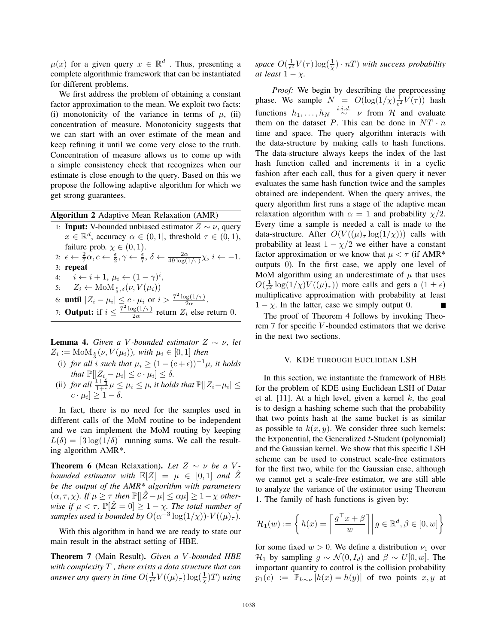$\mu(x)$  for a given query  $x \in \mathbb{R}^d$ . Thus, presenting a complete algorithmic framework that can be instantiated for different problems.

We first address the problem of obtaining a constant factor approximation to the mean. We exploit two facts: (i) monotonicity of the variance in terms of  $\mu$ , (ii) concentration of measure. Monotonicity suggests that we can start with an over estimate of the mean and keep refining it until we come very close to the truth. Concentration of measure allows us to come up with a simple consistency check that recognizes when our estimate is close enough to the query. Based on this we propose the following adaptive algorithm for which we get strong guarantees.

## Algorithm 2 Adaptive Mean Relaxation (AMR)

1: **Input:** V-bounded unbiased estimator  $Z \sim \nu$ , query  $x \in \mathbb{R}^d$ , accuracy  $\alpha \in (0,1]$ , threshold  $\tau \in (0,1)$ , failure prob.  $\chi \in (0,1)$ . 2:  $\epsilon \leftarrow \frac{2}{7}\alpha, c \leftarrow \frac{\epsilon}{2}, \gamma \leftarrow \frac{\epsilon}{7}, \delta \leftarrow \frac{2\alpha}{49 \log(1/\tau)}\chi, i \leftarrow -1.$ 3: repeat 4:  $\hat{i} \leftarrow \hat{i} + 1, \mu_i \leftarrow (1 - \gamma)^i,$ 5:  $Z_i \leftarrow \text{MoM}_{\frac{\epsilon}{3},\delta}(\nu, V(\mu_i))$ 6: **until**  $|Z_i - \mu_i| \leq c \cdot \mu_i$  or  $i > \frac{7^2 \log(1/\tau)}{2\alpha}$ .<br>7: **Output:** if  $i \leq \frac{7^2 \log(1/\tau)}{2\alpha}$  return  $Z_i$  else return 0.

**Lemma 4.** *Given a V*-bounded estimator  $Z \sim \nu$ , let  $Z_i := \text{MoM}_{\frac{\epsilon}{3}}(\nu, V(\mu_i)),$  with  $\mu_i \in [0, 1]$  then

- (i) *for all i such that*  $\mu_i \geq (1 (c + \epsilon))^{-1} \mu$ , *it holds that*  $\mathbb{P}[|Z_i - \mu_i| \leq c \cdot \mu_i] \leq \delta$ .
- (ii) *for all*  $\frac{1+\frac{\epsilon}{3}}{1+c} \mu \leq \mu_i \leq \mu$ , *it holds that*  $\mathbb{P}[|Z_i-\mu_i| \leq c \cdot \mu_i] \geq 1-\delta$ .

In fact, there is no need for the samples used in different calls of the MoM routine to be independent and we can implement the MoM routing by keeping  $L(\delta) = [3 \log(1/\delta)]$  running sums. We call the resulting algorithm AMR\*.

**Theorem 6** (Mean Relaxation). Let  $Z \sim \nu$  be a V*bounded estimator with*  $\mathbb{E}[Z] = \mu \in [0,1]$  *and*  $\hat{Z}$ *be the output of the AMR\* algorithm with parameters*  $(\alpha, \tau, \chi)$ *. If*  $\mu \geq \tau$  *then*  $\mathbb{P}[\vert \hat{Z} - \mu \vert \leq \alpha \mu] \geq 1 - \chi$  *otherwise if*  $\mu < \tau$ ,  $\mathbb{P}[\hat{Z} = 0] \geq 1 - \chi$ . The total number of *samples used is bounded by*  $O(\alpha^{-3} \log(1/\chi)) \cdot V((\mu)_{\tau}).$ 

With this algorithm in hand we are ready to state our main result in the abstract setting of HBE.

Theorem 7 (Main Result). *Given a* V *-bounded HBE with complexity* T *, there exists a data structure that can answer any query in time*  $O(\frac{1}{\epsilon^2}V((\mu)_\tau)\log(\frac{1}{\chi})T)$  *using* 

*space*  $O(\frac{1}{\epsilon^2}V(\tau)\log(\frac{1}{\chi})\cdot nT)$  *with success probability at least*  $1 - \chi$ *.* 

*Proof:* We begin by describing the preprocessing phase. We sample  $N = O(\log(1/\chi) \frac{1}{\epsilon^2} V(\tau))$  hash functions  $h_1, \ldots, h_N \stackrel{i.i.d.}{\sim} \nu$  from H and evaluate them on the dataset P. This can be done in  $NT \cdot n$ time and space. The query algorithm interacts with the data-structure by making calls to hash functions. The data-structure always keeps the index of the last hash function called and increments it in a cyclic fashion after each call, thus for a given query it never evaluates the same hash function twice and the samples obtained are independent. When the query arrives, the query algorithm first runs a stage of the adaptive mean relaxation algorithm with  $\alpha = 1$  and probability  $\chi/2$ . Every time a sample is needed a call is made to the data-structure. After  $O(V((\mu)_{\tau} \log(1/\chi)))$  calls with probability at least  $1 - \chi/2$  we either have a constant factor approximation or we know that  $\mu < \tau$  (if AMR\* outputs 0). In the first case, we apply one level of MoM algorithm using an underestimate of  $\mu$  that uses  $O(\frac{1}{\epsilon^2} \log(1/\chi)V((\mu)_\tau))$  more calls and gets a  $(1 \pm \epsilon)$ multiplicative approximation with probability at least  $1 - \chi$ . In the latter, case we simply output 0.

The proof of Theorem 4 follows by invoking Theorem 7 for specific V -bounded estimators that we derive in the next two sections.

## V. KDE THROUGH EUCLIDEAN LSH

In this section, we instantiate the framework of HBE for the problem of KDE using Euclidean LSH of Datar et al. [11]. At a high level, given a kernel  $k$ , the goal is to design a hashing scheme such that the probability that two points hash at the same bucket is as similar as possible to  $k(x, y)$ . We consider three such kernels: the Exponential, the Generalized  $t$ -Student (polynomial) and the Gaussian kernel. We show that this specific LSH scheme can be used to construct scale-free estimators for the first two, while for the Gaussian case, although we cannot get a scale-free estimator, we are still able to analyze the variance of the estimator using Theorem 1. The family of hash functions is given by:

$$
\mathcal{H}_1(w) := \left\{ h(x) = \left\lceil \frac{g^\top x + \beta}{w} \right\rceil \middle| g \in \mathbb{R}^d, \beta \in [0, w] \right\}
$$

for some fixed  $w > 0$ . We define a distribution  $\nu_1$  over  $\mathcal{H}_1$  by sampling  $q \sim \mathcal{N}(0, I_d)$  and  $\beta \sim U[0, w]$ . The important quantity to control is the collision probability  $p_1(c) := \mathbb{P}_{h \sim \nu} [h(x) = h(y)]$  of two points x, y at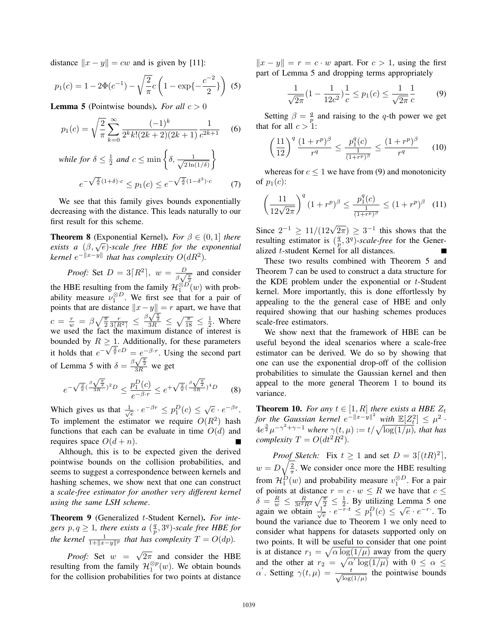distance  $||x - y|| = cw$  and is given by [11]:

$$
p_1(c) = 1 - 2\Phi(c^{-1}) - \sqrt{\frac{2}{\pi}}c\left(1 - \exp\{-\frac{c^{-2}}{2}\}\right)
$$
 (5)

**Lemma 5** (Pointwise bounds). *For all*  $c > 0$ 

$$
p_1(c) = \sqrt{\frac{2}{\pi}} \sum_{k=0}^{\infty} \frac{(-1)^k}{2^k k! (2k+2)(2k+1)} \frac{1}{c^{2k+1}} \quad (6)
$$

while for 
$$
\delta \le \frac{1}{2}
$$
 and  $c \le \min\left\{\delta, \frac{1}{\sqrt{2\ln(1/\delta)}}\right\}$   
 $e^{-\sqrt{\frac{2}{\pi}}(1+\delta)\cdot c} \le p_1(c) \le e^{-\sqrt{\frac{2}{\pi}}(1-\delta^3)\cdot c}$  (7)

We see that this family gives bounds exponentially decreasing with the distance. This leads naturally to our first result for this scheme.

**Theorem 8** (Exponential Kernel). *For*  $\beta \in (0, 1]$  *there exists a*  $(\beta, \sqrt{e})$ -scale free HBE for the exponential *kernel*  $e^{-\|x-y\|}$  *that has complexity*  $O(dR^2)$ *.* 

*Proof:* Set  $D = 3[R^2]$ ,  $w = \frac{D}{\beta \sqrt{\frac{\pi}{2}}}$  and consider the HBE resulting from the family  $\mathcal{H}_{1}^{\otimes D}(w)$  with prob-<br>ability measure  $\nu_{1}^{\otimes D}$ . We first see that for a pair of<br>points that are distance  $||x - y|| = x$  apart, we have that points that are distance  $||x-y|| = r$  apart, we have that  $c = \frac{r}{w} = \beta \sqrt{\frac{\pi}{2}}$ 7 stance  $\|x-y\|$ <br>  $\frac{r}{3[R^2]} \leq \frac{\beta \sqrt{\frac{\pi}{2}}}{3R}$ <br>
the maximum  $c = \frac{r}{w} = \beta \sqrt{\frac{\pi}{2}} \frac{r}{3[R^2]} \le \frac{\beta \sqrt{\frac{\pi}{2}}}{3R} \le \sqrt{\frac{\pi}{18}} \le \frac{1}{2}$ . Where we used the fact the maximum distance of interest is bounded by  $R \geq 1$ . Additionally, for these parameters it holds that  $e^{-\sqrt{\frac{2}{\pi}}cD} = e^{-\beta \cdot r}$ . Using the second part of Lemma 5 with  $\delta = \frac{\beta \sqrt{\frac{\pi}{2}}}{3R}$  we get

$$
e^{-\sqrt{\frac{2}{\pi}}(\frac{\beta\sqrt{\frac{\pi}{2}}}{3R})^2D} \le \frac{p_1^D(c)}{e^{-\beta \cdot r}} \le e^{+\sqrt{\frac{2}{\pi}}(\frac{\beta\sqrt{\frac{\pi}{2}}}{3R})^4D} \tag{8}
$$

Which gives us that  $\frac{1}{\sqrt{e}} \cdot e^{-\beta r} \le p_1^D(c) \le \sqrt{e} \cdot e^{-\beta r}$ .<br>To implement the estimator we require  $O(R^2)$  hash functions that each can be evaluate in time  $O(d)$  and requires space  $O(d + n)$ .

Although, this is to be expected given the derived pointwise bounds on the collision probabilities, and seems to suggest a correspondence between kernels and hashing schemes, we show next that one can construct a *scale-free estimator for another very different kernel using the same LSH scheme*.

Theorem 9 (Generalized t-Student Kernel). *For integers*  $p, q \geq 1$ , there exists a  $(\frac{q}{p}, 3^q)$ -scale free HBE for *the kernel*  $\frac{1}{1+\Vert x-y\Vert^p}$  *that has complexity*  $T = O(dp)$ *.* 

*Proof:* Set  $w = \sqrt{2\pi}$  and consider the HBE resulting from the family  $\mathcal{H}_1^{\otimes p}(w)$ . We obtain bounds<br>for the collision probabilities for two points at distance for the collision probabilities for two points at distance  $||x - y|| = r = c \cdot w$  apart. For  $c > 1$ , using the first part of Lemma 5 and dropping terms appropriately

$$
\frac{1}{\sqrt{2\pi}}(1 - \frac{1}{12c^2})\frac{1}{c} \le p_1(c) \le \frac{1}{\sqrt{2\pi}}\frac{1}{c}
$$
 (9)

Setting  $\beta = \frac{q}{p}$  and raising to the q-th power we get that for all  $c > 1$ :

$$
\left(\frac{11}{12}\right)^q \frac{(1+r^p)^{\beta}}{r^q} \le \frac{p_1^q(c)}{\frac{1}{(1+r^p)^{\beta}}} \le \frac{(1+r^p)^{\beta}}{r^q} \qquad (10)
$$

whereas for  $c < 1$  we have from (9) and monotonicity of  $p_1(c)$ :

$$
\left(\frac{11}{12\sqrt{2\pi}}\right)^q (1+r^p)^{\beta} \le \frac{p_1^q(c)}{\frac{1}{(1+r^p)^{\beta}}} \le (1+r^p)^{\beta} \quad (11)
$$

Since  $2^{-1} \geq 11/(12\sqrt{2\pi}) \geq 3^{-1}$  this shows that the resulting estimator is  $(\frac{q}{p}, 3^q)$ -*scale-free* for the Generalized t-student Kernel for all distances.

These two results combined with Theorem 5 and Theorem 7 can be used to construct a data structure for the KDE problem under the exponential or  $t$ -Student kernel. More importantly, this is done effortlessly by appealing to the the general case of HBE and only required showing that our hashing schemes produces scale-free estimators.

We show next that the framework of HBE can be useful beyond the ideal scenarios where a scale-free estimator can be derived. We do so by showing that one can use the exponential drop-off of the collision probabilities to simulate the Gaussian kernel and then appeal to the more general Theorem 1 to bound its variance.

**Theorem 10.** For any  $t \in [1, R]$  there exists a HBE  $Z_t$ for the Gaussian kernel  $e^{-\|x-y\|^2}$  with  $\mathbb{E}[Z_t^2] \leq \mu^2$  ·  $4e^{\frac{3}{2}}\mu^{-\gamma^2+\gamma-1}$  where  $\gamma(t,\mu):=t/\sqrt{\log(1/\mu)}$ , that has *complexity*  $T = O(dt^2R^2)$ *.* 

*Proof Sketch:* Fix  $t \geq 1$  and set  $D = 3[(tR)^2]$ ,  $w = D\sqrt{\frac{2}{\pi}}$ . We consider once more the HBE resulting from  $\mathcal{H}_1^D(w)$  and probability measure  $v_1^{\otimes D}$ . For a pair of points at distance  $r = c \cdot w \leq R$  we have that  $c \leq$  $\delta = \frac{R}{w} \leq \frac{R}{3t^2R^2} \sqrt{\frac{\pi}{2}} \leq \frac{1}{2}$ . By utilizing Lemma 5 one<br>again we obtain  $\frac{1}{\sqrt{e}} \cdot e^{-r \cdot t} \leq p_1^D(c) \leq \sqrt{e} \cdot e^{-r \cdot}$ . To bound the variance due to Theorem 1 we only need to consider what happens for datasets supported only on two points. It will be useful to consider that one point is at distance  $r_1 = \sqrt{\alpha \log(1/\mu)}$  away from the query and the other at  $r_2 = \sqrt{\alpha'} \log(1/\mu)$  with  $0 \le \alpha \le$  $\alpha'$ . Setting  $\gamma(t,\mu) = \frac{t}{\sqrt{\log(1/\mu)}}$  the pointwise bounds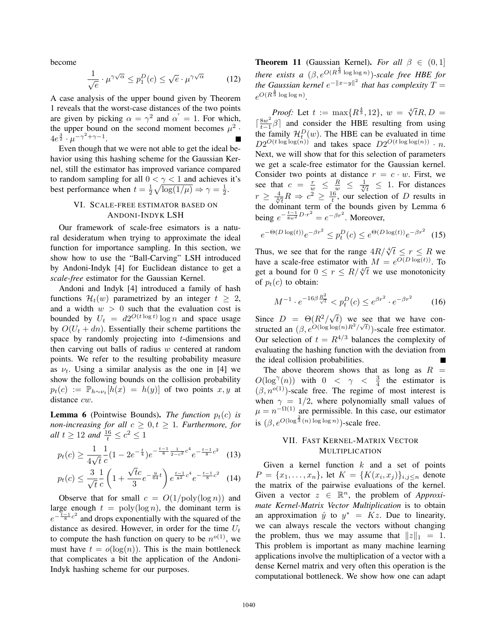become

$$
\frac{1}{\sqrt{e}} \cdot \mu^{\gamma \sqrt{\alpha}} \le p_1^D(c) \le \sqrt{e} \cdot \mu^{\gamma \sqrt{\alpha}} \tag{12}
$$

A case analysis of the upper bound given by Theorem 1 reveals that the worst-case distances of the two points are given by picking  $\alpha = \gamma^2$  and  $\alpha' = 1$ . For which, the upper bound on the second moment becomes  $\mu^2$ .  $4e^{\frac{3}{2}} \cdot \mu^{-\gamma^2 + \gamma - 1}.$ 

Even though that we were not able to get the ideal behavior using this hashing scheme for the Gaussian Kernel, still the estimator has improved variance compared to random sampling for all  $0 < \gamma < 1$  and achieves it's best performance when  $t = \frac{1}{2} \sqrt{\log(1/\mu)} \Rightarrow \gamma = \frac{1}{2}$ .

# 2 VI. SCALE-FREE ESTIMATOR BASED ON ANDONI-INDYK LSH

Our framework of scale-free esimators is a natural desideratum when trying to approximate the ideal function for importance sampling. In this section, we show how to use the "Ball-Carving" LSH introduced by Andoni-Indyk [4] for Euclidean distance to get a *scale-free* estimator for the Gaussian Kernel.

Andoni and Indyk [4] introduced a family of hash functions  $\mathcal{H}_t(w)$  parametrized by an integer  $t \geq 2$ , and a width  $w > 0$  such that the evaluation cost is bounded by  $U_t = d2^{O(t \log t)} \log n$  and space usage by  $O(U_t + dn)$ . Essentially their scheme partitions the space by randomly projecting into  $t$ -dimensions and then carving out balls of radius  $w$  centered at random points. We refer to the resulting probability measure as  $\nu_t$ . Using a similar analysis as the one in [4] we show the following bounds on the collision probability  $p_t(c) := \mathbb{P}_{h \sim \nu_t}[h(x) = h(y)]$  of two points x, y at distance cw.

**Lemma 6** (Pointwise Bounds). *The function*  $p_t(c)$  *is non-increasing for all*  $c \geq 0, t \geq 1$ *. Furthermore, for all*  $t \geq 12$  *and*  $\frac{16}{t} \leq c^2 \leq 1$ 

$$
p_t(c) \ge \frac{1}{4\sqrt{t}} \frac{1}{c} (1 - 2e^{-\frac{t}{4}}) e^{-\frac{t-1}{8} \frac{1}{2 - c^2} c^4} e^{-\frac{t-1}{8} c^2}
$$
(13)

$$
p_t(c) \le \frac{3}{\sqrt{t}} \frac{1}{c} \left( 1 + \frac{\sqrt{t}c}{3} e^{-\frac{9}{64}t} \right) e^{\frac{t-1}{8^2}c^4} e^{-\frac{t-1}{8}c^2} \quad (14)
$$

Observe that for small  $c = O(1/\text{poly}(\log n))$  and large enough  $t = \text{poly}(\log n)$ , the dominant term is  $e^{-\frac{t-1}{8}c^2}$  and drops exponentially with the squared of the distance as desired. However, in order for the time  $U_t$ to compute the hash function on query to be  $n^{o(1)}$ , we must have  $t = o(\log(n))$ . This is the main bottleneck that complicates a bit the application of the Andoni-Indyk hashing scheme for our purposes.

**Theorem 11** (Gaussian Kernel). *For all*  $\beta \in (0,1]$ *there exists a*  $(\beta, e^{O(R^{\frac{4}{3}} \log \log n)})$ *-scale free HBE for* the Gaussian kernel  $e^{-\|x-y\|^2}$  that has complexity  $T=$  $e^{O(R^{\frac{4}{3}}\log\log n)}$ .

*Proof:* Let  $t := \max\{R^{\frac{4}{3}}, 12\}$ ,  $w = \sqrt[4]{tR}$ ,  $D =$  $\left[\frac{8w^2}{t-1}\beta\right]$  and consider the HBE resulting from using the family  $\mathcal{H}_t^D(w)$ . The HBE can be evaluated in time  $D2^{O(t \log \log(n))}$  and takes space  $D2^{O(t \log \log(n))} \cdot n$ . Next, we will show that for this selection of parameters we get a scale-free estimator for the Gaussian kernel. Consider two points at distance  $r = c \cdot w$ . First, we see that  $c = \frac{r}{w} \leq \frac{R}{w} \leq \frac{1}{\sqrt[4]{t}} \leq 1$ . For distances  $r \geq \frac{4}{\sqrt[4]{t}}R \Rightarrow c^2 \geq \frac{16}{t}$ , our selection of D results in the dominant term of the bounds given by Lemma  $6$ being  $e^{-\frac{t-1}{8w^2}D\cdot r^2} = e^{-\beta r^2}$ . Moreover,

$$
e^{-\Theta(D \log(t))} e^{-\beta r^2} \le p_t^D(c) \le e^{\Theta(D \log(t))} e^{-\beta r^2}
$$
 (15)

Thus, we see that for the range  $4R/\sqrt[4]{t} \le r \le R$  we have a scale-free estimator with  $M = e^{\overline{O}(D \log(t))}$ . To get a bound for  $0 \le r \le R/\sqrt[4]{t}$  we use monotonicity of  $p_t(c)$  to obtain:

$$
M^{-1} \cdot e^{-16\beta \frac{R^2}{\sqrt{t}}} < p_t^D(c) \le e^{\beta r^2} \cdot e^{-\beta r^2} \tag{16}
$$

Since  $D = \Theta(R^2/\sqrt{t})$  we see that we have constructed an  $(\beta, e^{O(\log \log(n)R^2/\sqrt{t})})$ -scale free estimator. Our selection of  $t = R^{4/3}$  balances the complexity of evaluating the hashing function with the deviation from the ideal collision probabilities.

The above theorem shows that as long as  $R =$  $O(\log^{\gamma}(n))$  with  $0 < \gamma < \frac{3}{4}$  the estimator is <br>(*A n*<sup>o(1)</sup>)-scale free. The regime of most interest is  $(\beta, n^{o(1)})$ -scale free. The regime of most interest is when  $\gamma = 1/2$ , where polynomially small values of  $\mu = n^{-\Omega(1)}$  are permissible. In this case, our estimator is  $(\beta, e^{O(\log \frac{4}{3}(n) \log \log n)})$ -scale free.

## VII. FAST KERNEL-MATRIX VECTOR MULTIPLICATION

Given a kernel function  $k$  and a set of points  $P = \{x_1, \ldots, x_n\}$ , let  $K = \{K(x_i, x_j)\}_{i,j \le n}$  denote the matrix of the pairwise evaluations of the kernel. Given a vector  $z \in \mathbb{R}^n$ , the problem of *Approximate Kernel-Matrix Vector Multiplication* is to obtain an approximation  $\hat{y}$  to  $y^* = Kz$ . Due to linearity, we can always rescale the vectors without changing the problem, thus we may assume that  $||z||_1 = 1$ . This problem is important as many machine learning applications involve the multiplication of a vector with a dense Kernel matrix and very often this operation is the computational bottleneck. We show how one can adapt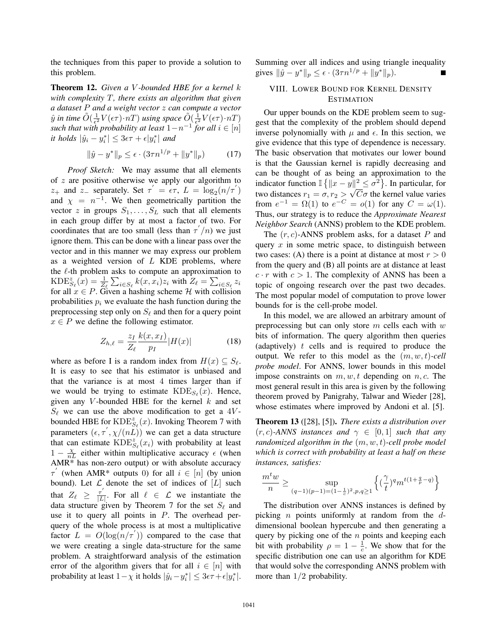the techniques from this paper to provide a solution to this problem.

Theorem 12. *Given a* V *-bounded HBE for a kernel* k *with complexity* T*, there exists an algorithm that given a dataset* P *and a weight vector* z *can compute a vector*  $\hat{y}$  in time  $\tilde{O}(\frac{1}{\epsilon^2}V(\epsilon\tau)\cdot nT)$  using space  $\tilde{O}(\frac{1}{\epsilon^2}V(\epsilon\tau)\cdot nT)$ *such that with probability at least*  $1-n^{-1}$  *for all*  $i \in [n]$  $i$ t holds  $|\hat{y}_i - y_i^*| \leq 3\epsilon\tau + \epsilon |y_i^*|$  and

$$
\|\hat{y} - y^*\|_p \le \epsilon \cdot (3\tau n^{1/p} + \|y^*\|_p) \tag{17}
$$

*Proof Sketch:* We may assume that all elements of  $z$  are positive otherwise we apply our algorithm to z<sub>+</sub> and z<sub>-</sub> separately. Set  $\tau' = \epsilon \tau$ ,  $L = \log_2(n/\tau')$ and  $\chi = n^{-1}$ . We then geometrically partition the vector z in groups  $S_1, \ldots, S_L$  such that all elements in each group differ by at most a factor of two. For coordinates that are too small (less than  $\tau'/n$ ) we just ignore them. This can be done with a linear pass over the vector and in this manner we may express our problem as a weighted version of  $L$  KDE problems, where the  $\ell$ -th problem asks to compute an approximation to KDE $\zeta_{\ell}(x) = \frac{1}{Z_{\ell}} \sum_{i \in S_{\ell}} k(x, x_i) z_i$  with  $Z_{\ell} = \sum_{i \in S_{\ell}} z_i$  for all  $x \in P$ . Given a hashing scheme  $\mathcal{H}$  with collision probabilities  $p_i$  we evaluate the hash function during the preprocessing step only on  $S_{\ell}$  and then for a query point  $x \in P$  we define the following estimator.

$$
Z_{h,\ell} = \frac{z_I}{Z_\ell} \frac{k(x, x_I)}{p_I} |H(x)| \tag{18}
$$

where as before I is a random index from  $H(x) \subseteq S_{\ell}$ . It is easy to see that his estimator is unbiased and that the variance is at most 4 times larger than if we would be trying to estimate  $KDE_{S_\ell}(x)$ . Hence, given any V-bounded HBE for the kernel  $k$  and set  $S_{\ell}$  we can use the above modification to get a 4Vbounded HBE for  $\text{KDE}_{S_{\ell}}^{z}(x)$ . Invoking Theorem 7 with parameters  $(\epsilon, \tau^{'}, \chi/(nL))$  we can get a data structure that can estimate  $\widehat{KDE}_{S_{\ell}}^{z'}(x_i)$  with probability at least  $1 - \frac{\chi}{nL}$  either within multiplicative accuracy  $\epsilon$  (when AMR\* has non-zero output) or with absolute accuracy  $\tau'$  (when AMR\* outputs 0) for all  $i \in [n]$  (by union bound). Let  $\mathcal L$  denote the set of indices of  $[L]$  such that  $Z_{\ell} \geq \frac{\tau'}{|L|}$ . For all  $\ell \in \mathcal{L}$  we instantiate the data structure given by Theorem 7 for the set  $S_{\ell}$  and use it to query all points in  $P$ . The overhead perquery of the whole process is at most a multiplicative factor  $L = O(\log(n/\tau'))$  compared to the case that we were creating a single data-structure for the same problem. A straightforward analysis of the estimation error of the algorithm givers that for all  $i \in [n]$  with probability at least  $1 - \chi$  it holds  $|\hat{y}_i - y_i^*| \leq 3\epsilon\tau + \epsilon |y_i^*|$ .

Summing over all indices and using triangle inequality gives  $\|\hat{y} - y^*\|_p \leq \epsilon \cdot (3\tau n^{1/p} + \|y^*\|_p).$ 

## VIII. LOWER BOUND FOR KERNEL DENSITY ESTIMATION

Our upper bounds on the KDE problem seem to suggest that the complexity of the problem should depend inverse polynomially with  $\mu$  and  $\epsilon$ . In this section, we give evidence that this type of dependence is necessary. The basic observation that motivates our lower bound is that the Gaussian kernel is rapidly decreasing and can be thought of as being an approximation to the indicator function  $\mathbb{I} \left\{ ||x - y||^2 \leq \sigma^2 \right\}$ . In particular, for marcator function  $\mathbb{E}\{|x-y\| \leq \delta\}$ . In particular, for<br>two distances  $r_1 = \sigma, r_2 > \sqrt{C}\sigma$  the kernel value varies from  $e^{-1} = \Omega(1)$  to  $e^{-C} = o(1)$  for any  $C = \omega(1)$ . Thus, our strategy is to reduce the *Approximate Nearest Neighbor Search* (ANNS) problem to the KDE problem.

The  $(r, c)$ -ANNS problem asks, for a dataset P and query  $x$  in some metric space, to distinguish between two cases: (A) there is a point at distance at most  $r > 0$ from the query and (B) all points are at distance at least  $c \cdot r$  with  $c > 1$ . The complexity of ANNS has been a topic of ongoing research over the past two decades. The most popular model of computation to prove lower bounds for is the cell-probe model.

In this model, we are allowed an arbitrary amount of preprocessing but can only store  $m$  cells each with  $w$ bits of information. The query algorithm then queries (adaptively)  $t$  cells and is required to produce the output. We refer to this model as the (m, w, t)*-cell probe model*. For ANNS, lower bounds in this model impose constraints on  $m, w, t$  depending on  $n, c$ . The most general result in this area is given by the following theorem proved by Panigrahy, Talwar and Wieder [28], whose estimates where improved by Andoni et al. [5].

Theorem 13 ([28], [5]). *There exists a distribution over*  $(r, c)$ -ANNS *instances and*  $\gamma \in [0, 1]$  *such that any randomized algorithm in the* (m, w, t)*-cell probe model which is correct with probability at least a half on these instances, satisfies:*

$$
\frac{m^t w}{n} \ge \sup_{(q-1)(p-1)=(1-\frac{1}{c})^2,p,q\ge 1} \left\{ (\frac{\gamma}{t})^q m^{t(1+\frac{q}{p}-q)} \right\}
$$

The distribution over ANNS instances is defined by picking *n* points uniformly at random from the  $d$ dimensional boolean hypercube and then generating a query by picking one of the  $n$  points and keeping each bit with probability  $\rho = 1 - \frac{1}{c}$ . We show that for the specific distribution one can use an algorithm for KDE that would solve the corresponding ANNS problem with more than  $1/2$  probability.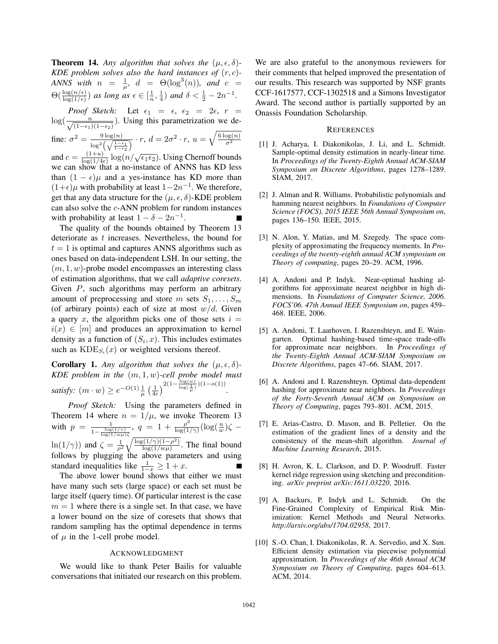**Theorem 14.** Any algorithm that solves the  $(\mu, \epsilon, \delta)$ -*KDE problem solves also the hard instances of* (r, c)*- ANNS* with  $n = \frac{1}{\mu}$ ,  $d = \Theta(\log^3(n))$ , and  $c =$  $\Theta(\frac{\log(n/\epsilon)}{\log(1/\epsilon)})$  *as long as*  $\epsilon \in [\frac{1}{n}, \frac{1}{4})$  *and*  $\delta < \frac{1}{2} - 2n^{-1}$ *.* 

*Proof Sketch:* Let  $\epsilon_1 = \epsilon$ ,  $\epsilon_2 = 2\epsilon$ ,  $r = \log(\frac{n}{\sqrt{1-\delta}})$ . Using this parametrization we de- $\frac{n}{(1-\epsilon_1)(1-\epsilon_2)}$ . Using this parametrization we define:  $\sigma^2 = \frac{9 \log(n)}{1 - 3\sqrt{1 - \epsilon}}$  $\frac{9 \log(n)}{\log^2\left(\sqrt{\frac{1-\epsilon_1}{1-\epsilon_2}}\right)} \cdot r, d = 2\sigma^2 \cdot r, u = \sqrt{\frac{6 \log(n)}{\sigma^2}}$ and  $c = \frac{(1+u)}{\log(1/4\epsilon)} \log(n/\sqrt{\epsilon_1 \epsilon_2})$ . Using Chernoff bounds<br>we can show that a no-instance of ANNS has KD less

we can show that a no-instance of ANNS has KD less than  $(1 - \epsilon)\mu$  and a yes-instance has KD more than  $(1+\epsilon)\mu$  with probability at least  $1-2n^{-1}$ . We therefore, get that any data structure for the  $(\mu, \epsilon, \delta)$ -KDE problem can also solve the c-ANN problem for random instances with probability at least  $1 - \delta - 2n^{-1}$ .

The quality of the bounds obtained by Theorem 13 deteriorate as t increases. Nevertheless, the bound for  $t = 1$  is optimal and captures ANNS algorithms such as ones based on data-independent LSH. In our setting, the  $(m, 1, w)$ -probe model encompasses an interesting class of estimation algorithms, that we call *adaptive coresets*. Given P, such algorithms may perform an arbitrary amount of preprocessing and store m sets  $S_1, \ldots, S_m$ (of arbirary points) each of size at most  $w/d$ . Given a query x, the algorithm picks one of those sets  $i =$  $i(x) \in [m]$  and produces an approximation to kernel density as a function of  $(S_i, x)$ . This includes estimates such as  $KDE_{S_i}(x)$  or weighted versions thereof.

**Corollary 1.** Any algorithm that solves the  $(\mu, \epsilon, \delta)$ -*KDE problem in the* (m, 1, w)*-cell probe model must satisfy:*  $(m \cdot w) \geq e^{-O(1)} \frac{1}{\mu} \left( \frac{1}{4\epsilon} \right)$  $\bigg)^{2(1-\frac{\log(w)}{\log(\frac{1}{\mu})})(1-o(1))}.$ 

*Proof Sketch:* Using the parameters defined in Theorem 14 where  $n = 1/\mu$ , we invoke Theorem 13 with  $p = \frac{1}{1-\frac{\log(1/\gamma)}{\log(1/w\mu)}\zeta}$  $q = 1 + \frac{\rho^2}{\log(1/\gamma)} (\log(\frac{n}{w})\zeta \ln(1/\gamma)$  and  $\zeta = \frac{1}{\rho^2} \sqrt{\frac{\log(1/\gamma)(1-\rho^2)}{\log(1/w\mu)}}$ . The final bound follows by plugging the above parameters and using standard inequalities like  $\frac{1}{1-x} \geq 1+x$ .<br>The above lower bound shows that

The above lower bound shows that either we must have many such sets (large space) or each set must be large itself (query time). Of particular interest is the case  $m = 1$  where there is a single set. In that case, we have a lower bound on the size of coresets that shows that random sampling has the optimal dependence in terms of  $\mu$  in the 1-cell probe model.

#### ACKNOWLEDGMENT

We would like to thank Peter Bailis for valuable conversations that initiated our research on this problem. We are also grateful to the anonymous reviewers for their comments that helped improved the presentation of our results. This research was supported by NSF grants CCF-1617577, CCF-1302518 and a Simons Investigator Award. The second author is partially supported by an Onassis Foundation Scholarship.

## **REFERENCES**

- [1] J. Acharya, I. Diakonikolas, J. Li, and L. Schmidt. Sample-optimal density estimation in nearly-linear time. In *Proceedings of the Twenty-Eighth Annual ACM-SIAM Symposium on Discrete Algorithms*, pages 1278–1289. SIAM, 2017.
- [2] J. Alman and R. Williams. Probabilistic polynomials and hamming nearest neighbors. In *Foundations of Computer Science (FOCS), 2015 IEEE 56th Annual Symposium on*, pages 136–150. IEEE, 2015.
- [3] N. Alon, Y. Matias, and M. Szegedy. The space complexity of approximating the frequency moments. In *Proceedings of the twenty-eighth annual ACM symposium on Theory of computing*, pages 20–29. ACM, 1996.
- [4] A. Andoni and P. Indyk. Near-optimal hashing algorithms for approximate nearest neighbor in high dimensions. In *Foundations of Computer Science, 2006. FOCS'06. 47th Annual IEEE Symposium on*, pages 459– 468. IEEE, 2006.
- [5] A. Andoni, T. Laarhoven, I. Razenshteyn, and E. Waingarten. Optimal hashing-based time-space trade-offs for approximate near neighbors. In *Proceedings of the Twenty-Eighth Annual ACM-SIAM Symposium on Discrete Algorithms*, pages 47–66. SIAM, 2017.
- [6] A. Andoni and I. Razenshteyn. Optimal data-dependent hashing for approximate near neighbors. In *Proceedings of the Forty-Seventh Annual ACM on Symposium on Theory of Computing*, pages 793–801. ACM, 2015.
- [7] E. Arias-Castro, D. Mason, and B. Pelletier. On the estimation of the gradient lines of a density and the consistency of the mean-shift algorithm. *Journal of Machine Learning Research*, 2015.
- [8] H. Avron, K. L. Clarkson, and D. P. Woodruff. Faster kernel ridge regression using sketching and preconditioning. *arXiv preprint arXiv:1611.03220*, 2016.
- [9] A. Backurs, P. Indyk and L. Schmidt. On the Fine-Grained Complexity of Empirical Risk Minimization: Kernel Methods and Neural Networks. *http://arxiv.org/abs/1704.02958*, 2017.
- [10] S.-O. Chan, I. Diakonikolas, R. A. Servedio, and X. Sun. Efficient density estimation via piecewise polynomial approximation. In *Proceedings of the 46th Annual ACM Symposium on Theory of Computing*, pages 604–613. ACM, 2014.